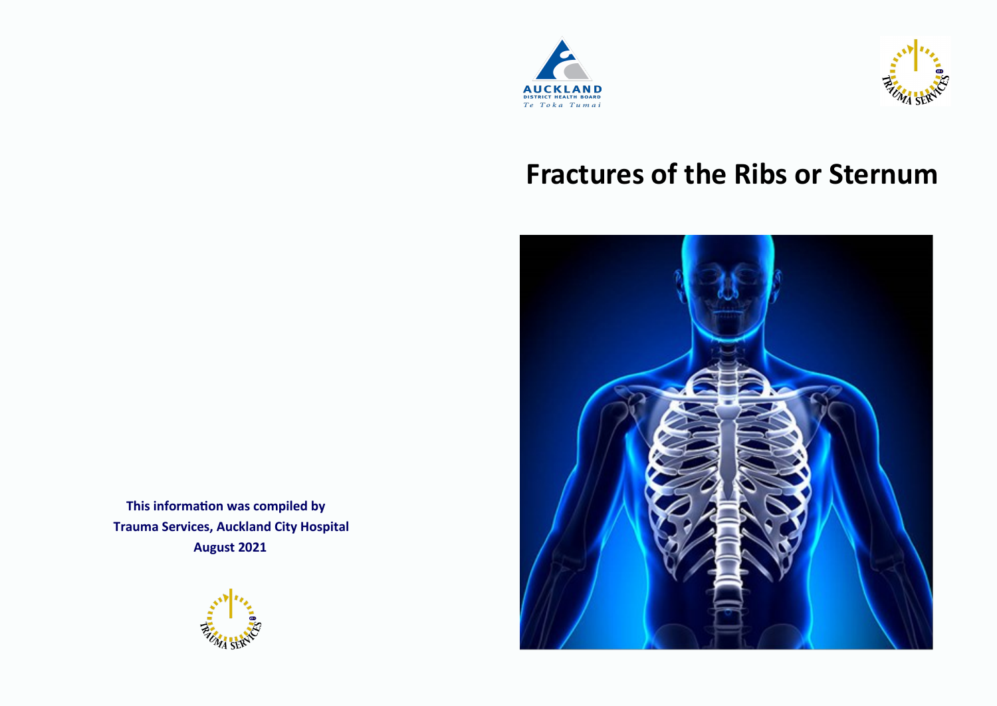



# **Fractures of the Ribs or Sternum**



 **This information was compiled by Trauma Services, Auckland City Hospital August 2021**

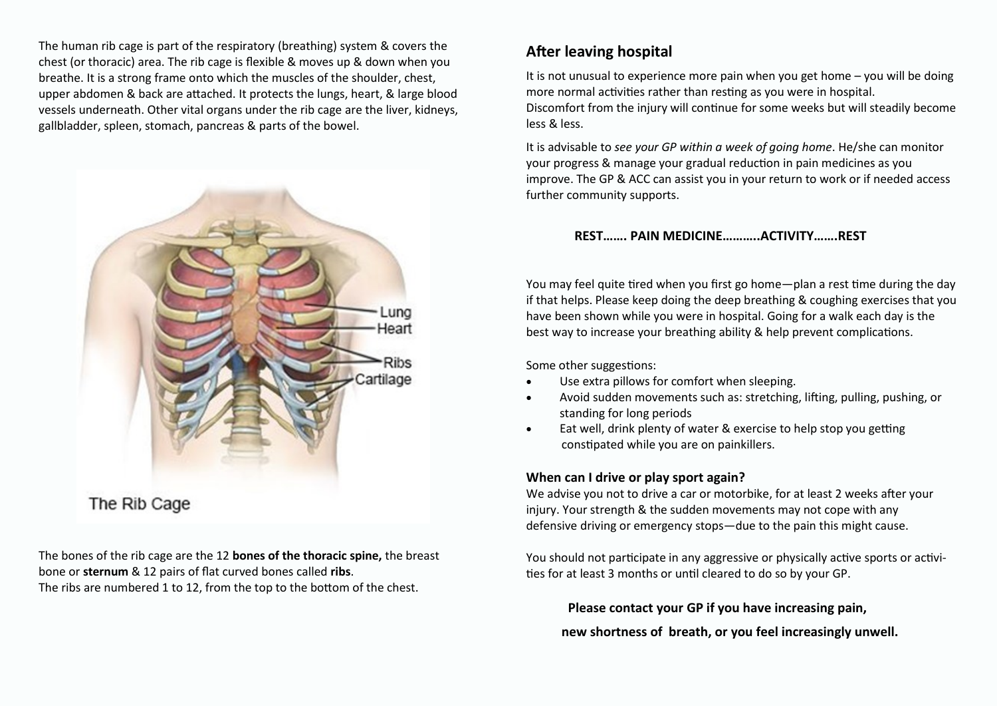The human rib cage is part of the [respiratory \(breathing\) system](https://en.wikipedia.org/wiki/Respiratory_system) & covers the chest (or thoracic) area. The rib cage is flexible & moves up & down when you breathe. It is a strong frame onto which the muscles of the shoulder, chest, upper abdomen & back are attached. It protects the lungs, heart, & large blood vessels underneath. Other vital organs under the rib cage are the liver, kidneys, gallbladder, spleen, stomach, pancreas & parts of the bowel.



The bones of the rib cage are the 12 **bones of the thoracic spine,** the breast bone or **sternum** & 12 pairs of flat curved bones called **ribs**. The ribs are numbered 1 to 12, from the top to the bottom of the chest.

## **After leaving hospital**

It is not unusual to experience more pain when you get home – you will be doing more normal activities rather than resting as you were in hospital. Discomfort from the injury will continue for some weeks but will steadily become less & less.

It is advisable to *see your GP within a week of going home*. He/she can monitor your progress & manage your gradual reduction in pain medicines as you improve. The GP & ACC can assist you in your return to work or if needed access further community supports.

#### **REST……. PAIN MEDICINE………..ACTIVITY…….REST**

You may feel quite tired when you first go home—plan a rest time during the day if that helps. Please keep doing the deep breathing & coughing exercises that you have been shown while you were in hospital. Going for a walk each day is the best way to increase your breathing ability & help prevent complications.

Some other suggestions:

- Use extra pillows for comfort when sleeping.
- Avoid sudden movements such as: stretching, lifting, pulling, pushing, or standing for long periods
- Eat well, drink plenty of water & exercise to help stop you getting constipated while you are on painkillers.

#### **When can I drive or play sport again?**

We advise you not to drive a car or motorbike, for at least 2 weeks after your injury. Your strength & the sudden movements may not cope with any defensive driving or emergency stops—due to the pain this might cause.

You should not participate in any aggressive or physically active sports or activities for at least 3 months or until cleared to do so by your GP.

 **Please contact your GP if you have increasing pain,** 

 **new shortness of breath, or you feel increasingly unwell.**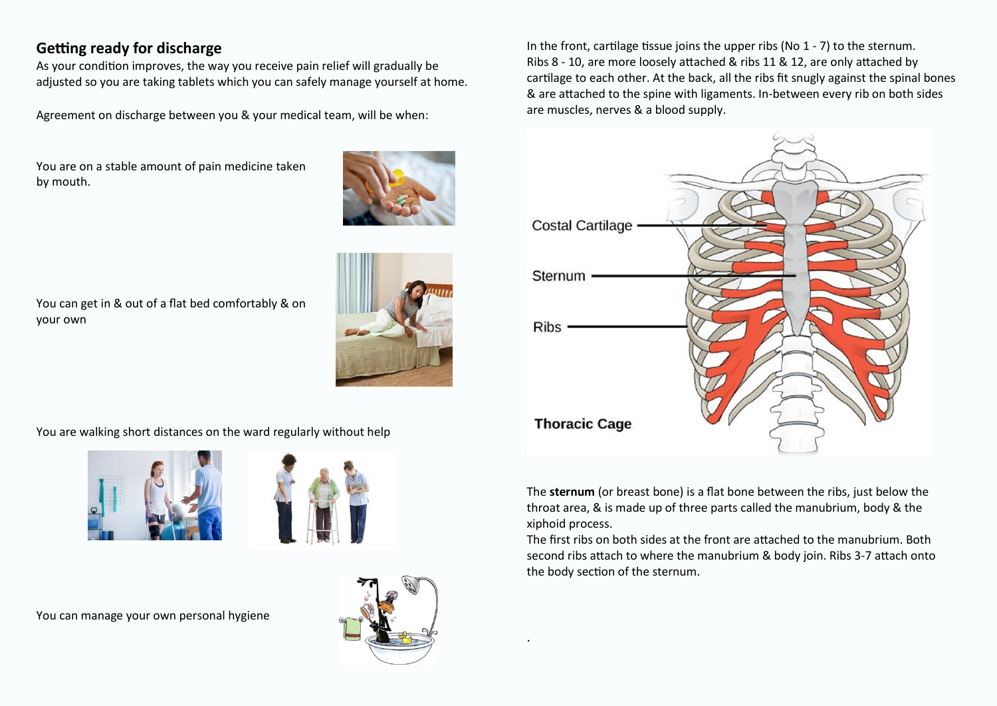# **Getting ready for discharge**

As your condition improves, the way you receive pain relief will gradually be adjusted so you are taking tablets which you can safely manage yourself at home.

Agreement on discharge between you & your medical team, will be when:

You are on a stable amount of pain medicine taken by mouth.



You can get in & out of a flat bed comfortably & on your own



You are walking short distances on the ward regularly without help





You can manage your own personal hygiene



.

In the front, cartilage tissue joins the upper ribs (No 1 - 7) to the sternum. Ribs 8 - 10, are more loosely attached & ribs 11 & 12, are only attached by cartilage to each other. At the back, all the ribs fit snugly against the spinal bones & are attached to the spine with ligaments. In-between every rib on both sides are muscles, nerves & a blood supply.



The **sternum** (or breast bone) is a flat bone between the ribs, just below the throat area, & is made up of three parts called the manubrium, body & the xiphoid process.

The first ribs on both sides at the front are attached to the manubrium. Both second ribs attach to where the manubrium & body join. Ribs 3-7 attach onto the body section of the sternum.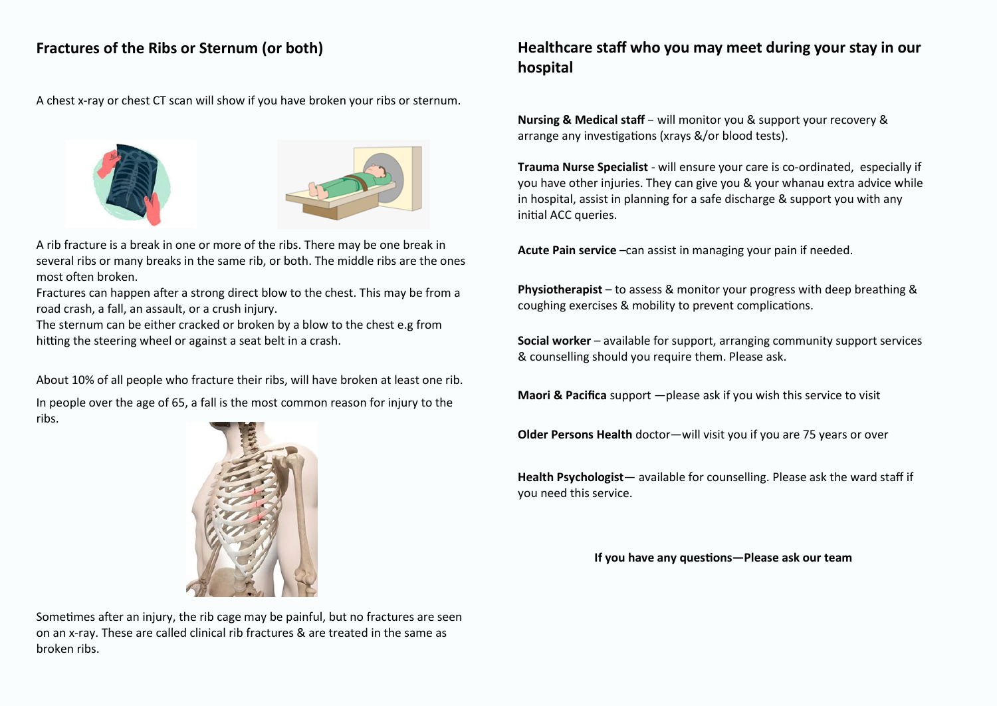# **Fractures of the Ribs or Sternum (or both)**

A chest x-ray or chest CT scan will show if you have broken your ribs or sternum.





A rib fracture is a break in one or more of the ribs. There may be one break in several ribs or many breaks in the same rib, or both. The middle ribs are the ones most often broken.

Fractures can happen after a strong direct blow to the chest. This may be from a road crash, a fall, an assault, or a crush injury.

The sternum can be either cracked or broken by a blow to the chest e.g from hitting the steering wheel or against a seat belt in a crash.

About 10% of all people who fracture their ribs, will have broken at least one rib.

In people over the age of 65, a fall is the most common reason for injury to the ribs.



Sometimes after an injury, the rib cage may be painful, but no fractures are seen on an x-ray. These are called clinical rib fractures & are treated in the same as broken ribs.

# **Healthcare staff who you may meet during your stay in our hospital**

**Nursing & Medical staff** – will monitor you & support your recovery & arrange any investigations (xrays &/or blood tests).

**Trauma Nurse Specialist** - will ensure your care is co-ordinated, especially if you have other injuries. They can give you & your whanau extra advice while in hospital, assist in planning for a safe discharge & support you with any initial ACC queries.

**Acute Pain service** –can assist in managing your pain if needed.

**Physiotherapist** – to assess & monitor your progress with deep breathing & coughing exercises & mobility to prevent complications.

**Social worker** – available for support, arranging community support services & counselling should you require them. Please ask.

**Maori & Pacifica** support —please ask if you wish this service to visit

**Older Persons Health** doctor—will visit you if you are 75 years or over

**Health Psychologist**— available for counselling. Please ask the ward staff if you need this service.

 **If you have any questions—Please ask our team**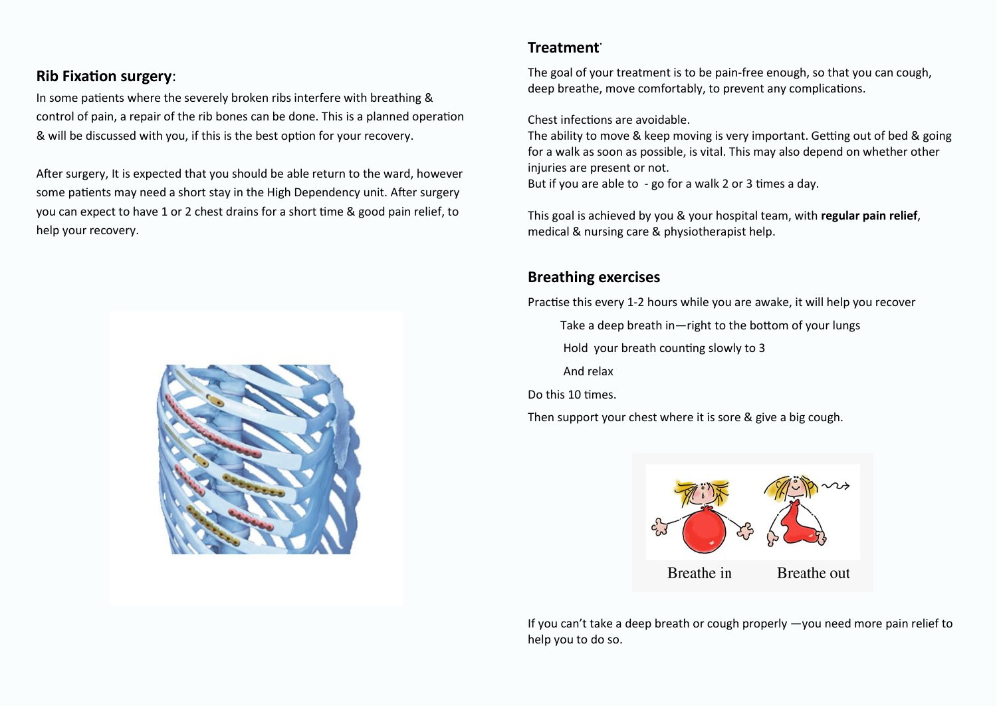### **Rib Fixation surgery**:

In some patients where the severely broken ribs interfere with breathing & control of pain, a repair of the rib bones can be done. This is a planned operation & will be discussed with you, if this is the best option for your recovery.

After surgery, It is expected that you should be able return to the ward, however some patients may need a short stay in the High Dependency unit. After surgery you can expect to have 1 or 2 chest drains for a short time & good pain relief, to help your recovery.



#### **Treatment.**

The goal of your treatment is to be pain-free enough, so that you can cough, deep breathe, move comfortably, to prevent any complications.

Chest infections are avoidable.

The ability to move & keep moving is very important. Getting out of bed & going for a walk as soon as possible, is vital. This may also depend on whether other injuries are present or not.

But if you are able to - go for a walk 2 or 3 times a day.

This goal is achieved by you & your hospital team, with **regular pain relief**, medical & nursing care & physiotherapist help.

## **Breathing exercises**

Practise this every 1-2 hours while you are awake, it will help you recover

Take a deep breath in—right to the bottom of your lungs

Hold your breath counting slowly to 3

And relax

Do this 10 times.

Then support your chest where it is sore & give a big cough.



If you can't take a deep breath or cough properly —you need more pain relief to help you to do so.